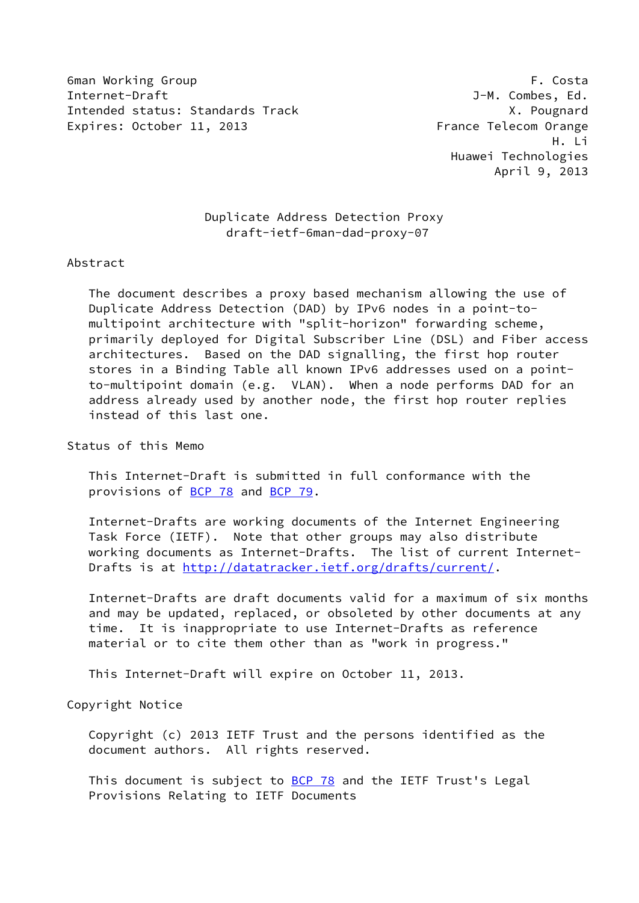6man Working Group F. Costa Internet-Draft J-M. Combes, Ed. Intended status: Standards Track X. Pougnard Expires: October 11, 2013 The State of Prance Telecom Orange

 H. Li Huawei Technologies April 9, 2013

# Duplicate Address Detection Proxy draft-ietf-6man-dad-proxy-07

### Abstract

 The document describes a proxy based mechanism allowing the use of Duplicate Address Detection (DAD) by IPv6 nodes in a point-to multipoint architecture with "split-horizon" forwarding scheme, primarily deployed for Digital Subscriber Line (DSL) and Fiber access architectures. Based on the DAD signalling, the first hop router stores in a Binding Table all known IPv6 addresses used on a point to-multipoint domain (e.g. VLAN). When a node performs DAD for an address already used by another node, the first hop router replies instead of this last one.

Status of this Memo

 This Internet-Draft is submitted in full conformance with the provisions of [BCP 78](https://datatracker.ietf.org/doc/pdf/bcp78) and [BCP 79](https://datatracker.ietf.org/doc/pdf/bcp79).

 Internet-Drafts are working documents of the Internet Engineering Task Force (IETF). Note that other groups may also distribute working documents as Internet-Drafts. The list of current Internet Drafts is at<http://datatracker.ietf.org/drafts/current/>.

 Internet-Drafts are draft documents valid for a maximum of six months and may be updated, replaced, or obsoleted by other documents at any time. It is inappropriate to use Internet-Drafts as reference material or to cite them other than as "work in progress."

This Internet-Draft will expire on October 11, 2013.

Copyright Notice

 Copyright (c) 2013 IETF Trust and the persons identified as the document authors. All rights reserved.

This document is subject to **[BCP 78](https://datatracker.ietf.org/doc/pdf/bcp78)** and the IETF Trust's Legal Provisions Relating to IETF Documents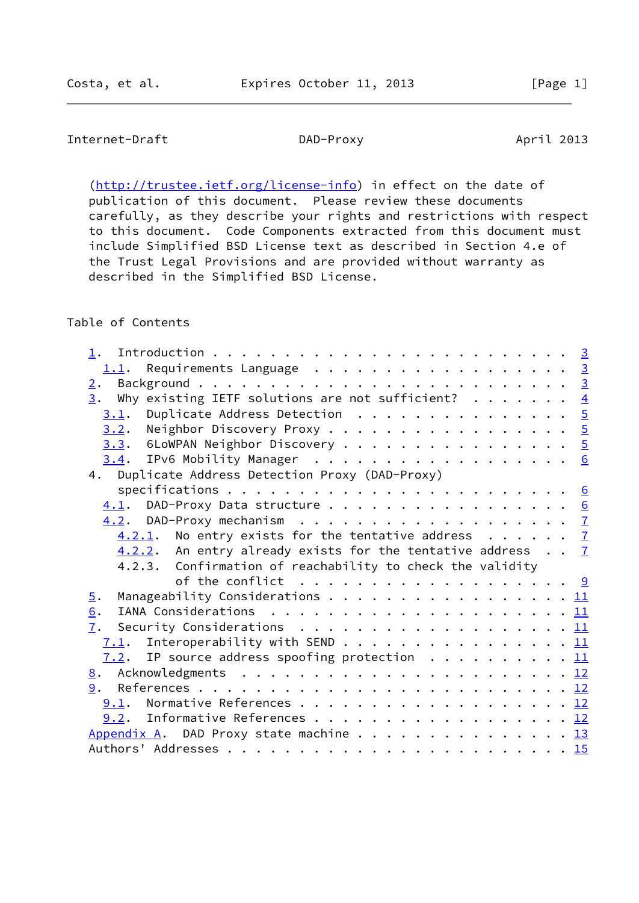# Internet-Draft DAD-Proxy DAD-Proxy April 2013

[\(http://trustee.ietf.org/license-info](http://trustee.ietf.org/license-info)) in effect on the date of publication of this document. Please review these documents carefully, as they describe your rights and restrictions with respect to this document. Code Components extracted from this document must include Simplified BSD License text as described in Section 4.e of the Trust Legal Provisions and are provided without warranty as described in the Simplified BSD License.

# Table of Contents

|                  | $1.1$ . Requirements Language 3                                                                 |  |
|------------------|-------------------------------------------------------------------------------------------------|--|
| 2.               |                                                                                                 |  |
|                  | 3. Why existing IETF solutions are not sufficient? $\frac{4}{1}$                                |  |
|                  | Duplicate Address Detection $\ldots \ldots \ldots \ldots \ldots$<br>3.1.                        |  |
|                  | Neighbor Discovery Proxy 5<br>3.2.                                                              |  |
|                  | 3.3. 6LoWPAN Neighbor Discovery 5                                                               |  |
|                  |                                                                                                 |  |
|                  | 4. Duplicate Address Detection Proxy (DAD-Proxy)                                                |  |
|                  |                                                                                                 |  |
|                  | 4.1. DAD-Proxy Data structure 6                                                                 |  |
|                  |                                                                                                 |  |
|                  | $4.2.1$ . No entry exists for the tentative address $7$                                         |  |
|                  | $4.2.2$ . An entry already exists for the tentative address $7$                                 |  |
|                  | 4.2.3. Confirmation of reachability to check the validity                                       |  |
|                  | of the conflict $\ldots \ldots \ldots \ldots \ldots \ldots \ldots \frac{9}{2}$                  |  |
| $\overline{5}$ . | Manageability Considerations 11                                                                 |  |
| 6.               |                                                                                                 |  |
|                  | Security Considerations $\ldots \ldots \ldots \ldots \ldots \ldots \ldots \underline{11}$<br>7. |  |
|                  | 7.1. Interoperability with SEND 11                                                              |  |
|                  | 7.2. IP source address spoofing protection 11                                                   |  |
|                  |                                                                                                 |  |
|                  | 9.                                                                                              |  |
|                  | 9.1. Normative References 12                                                                    |  |
|                  | $9.2$ . Informative References 12                                                               |  |
|                  | Appendix A. DAD Proxy state machine 13                                                          |  |
|                  |                                                                                                 |  |
|                  |                                                                                                 |  |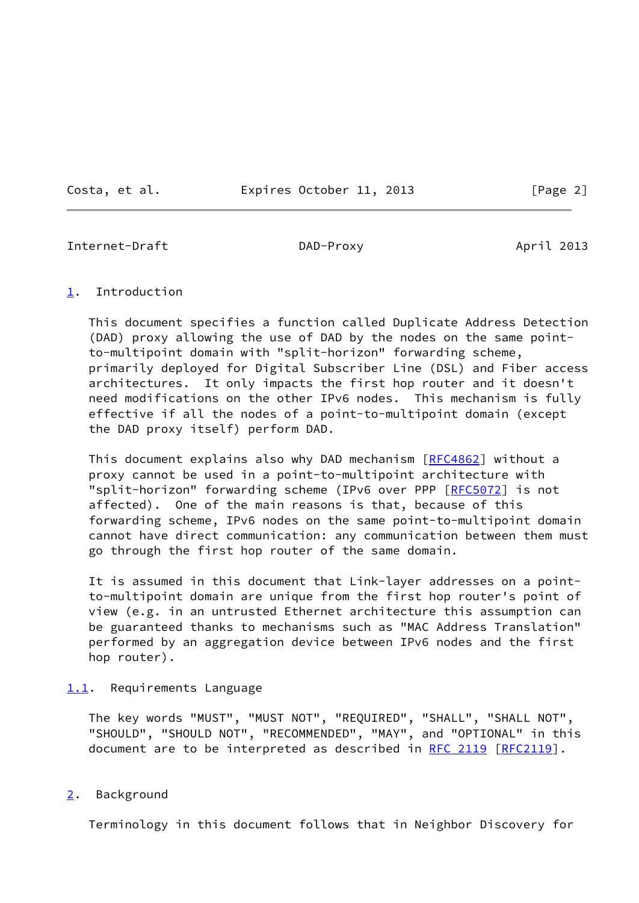Costa, et al. **Expires October 11, 2013** [Page 2]

<span id="page-2-1"></span>Internet-Draft DAD-Proxy April 2013

# <span id="page-2-0"></span>[1](#page-2-0). Introduction

 This document specifies a function called Duplicate Address Detection (DAD) proxy allowing the use of DAD by the nodes on the same point to-multipoint domain with "split-horizon" forwarding scheme, primarily deployed for Digital Subscriber Line (DSL) and Fiber access architectures. It only impacts the first hop router and it doesn't need modifications on the other IPv6 nodes. This mechanism is fully effective if all the nodes of a point-to-multipoint domain (except the DAD proxy itself) perform DAD.

This document explains also why DAD mechanism [[RFC4862](https://datatracker.ietf.org/doc/pdf/rfc4862)] without a proxy cannot be used in a point-to-multipoint architecture with "split-horizon" forwarding scheme (IPv6 over PPP [\[RFC5072](https://datatracker.ietf.org/doc/pdf/rfc5072)] is not affected). One of the main reasons is that, because of this forwarding scheme, IPv6 nodes on the same point-to-multipoint domain cannot have direct communication: any communication between them must go through the first hop router of the same domain.

 It is assumed in this document that Link-layer addresses on a point to-multipoint domain are unique from the first hop router's point of view (e.g. in an untrusted Ethernet architecture this assumption can be guaranteed thanks to mechanisms such as "MAC Address Translation" performed by an aggregation device between IPv6 nodes and the first hop router).

# <span id="page-2-2"></span>[1.1](#page-2-2). Requirements Language

 The key words "MUST", "MUST NOT", "REQUIRED", "SHALL", "SHALL NOT", "SHOULD", "SHOULD NOT", "RECOMMENDED", "MAY", and "OPTIONAL" in this document are to be interpreted as described in [RFC 2119 \[RFC2119](https://datatracker.ietf.org/doc/pdf/rfc2119)].

# <span id="page-2-3"></span>[2](#page-2-3). Background

Terminology in this document follows that in Neighbor Discovery for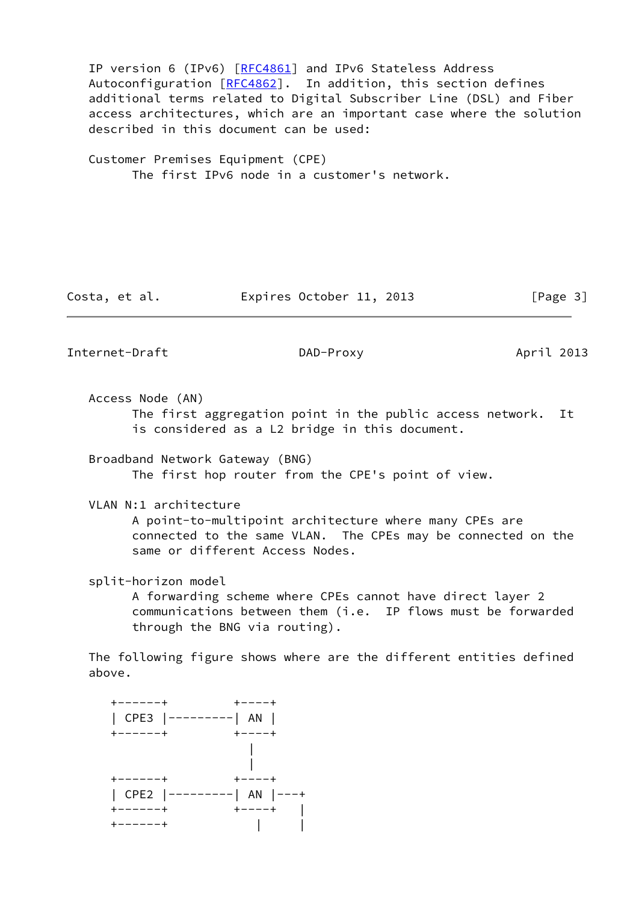IP version 6 (IPv6) [\[RFC4861](https://datatracker.ietf.org/doc/pdf/rfc4861)] and IPv6 Stateless Address Autoconfiguration [[RFC4862](https://datatracker.ietf.org/doc/pdf/rfc4862)]. In addition, this section defines additional terms related to Digital Subscriber Line (DSL) and Fiber access architectures, which are an important case where the solution described in this document can be used:

 Customer Premises Equipment (CPE) The first IPv6 node in a customer's network.

Costa, et al. **Expires October 11, 2013** [Page 3]

<span id="page-3-0"></span>Internet-Draft DAD-Proxy DAD-Proxy April 2013

Access Node (AN)

 The first aggregation point in the public access network. It is considered as a L2 bridge in this document.

 Broadband Network Gateway (BNG) The first hop router from the CPE's point of view.

VLAN N:1 architecture

 A point-to-multipoint architecture where many CPEs are connected to the same VLAN. The CPEs may be connected on the same or different Access Nodes.

split-horizon model

 A forwarding scheme where CPEs cannot have direct layer 2 communications between them (i.e. IP flows must be forwarded through the BNG via routing).

 The following figure shows where are the different entities defined above.

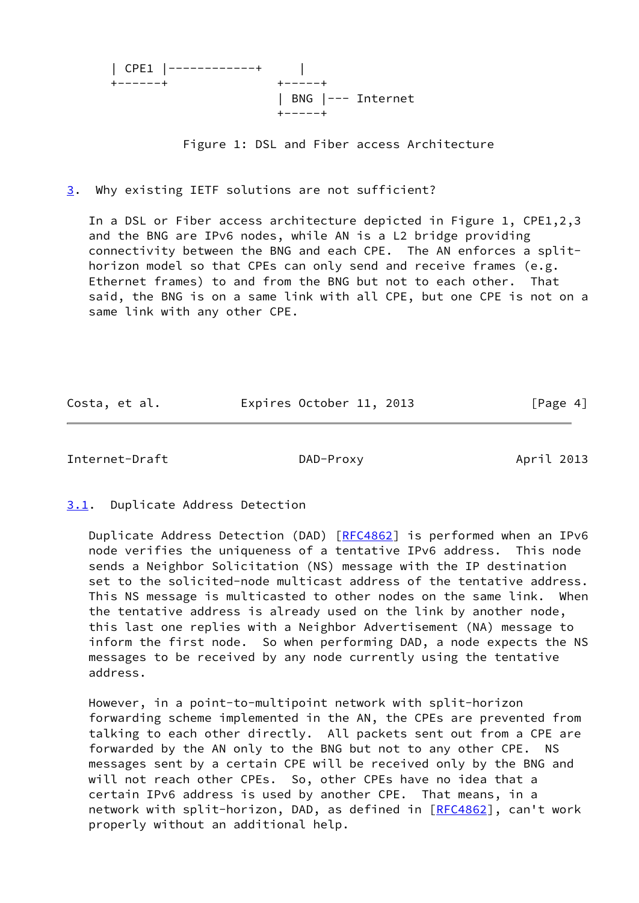|                 | $ $ CPE1 $ $ ------------+ |                                          |  |
|-----------------|----------------------------|------------------------------------------|--|
| $+ - - - - - +$ |                            | $+ - - - - +$                            |  |
|                 |                            | $ $ BNG $ ---$ Internet<br>$+ - - - - +$ |  |

Figure 1: DSL and Fiber access Architecture

<span id="page-4-0"></span>[3](#page-4-0). Why existing IETF solutions are not sufficient?

 In a DSL or Fiber access architecture depicted in Figure 1, CPE1,2,3 and the BNG are IPv6 nodes, while AN is a L2 bridge providing connectivity between the BNG and each CPE. The AN enforces a split horizon model so that CPEs can only send and receive frames (e.g. Ethernet frames) to and from the BNG but not to each other. That said, the BNG is on a same link with all CPE, but one CPE is not on a same link with any other CPE.

| Costa, et al. | Expires October 11, 2013 |  | [Page 4] |  |
|---------------|--------------------------|--|----------|--|
|               |                          |  |          |  |

<span id="page-4-2"></span>Internet-Draft DAD-Proxy April 2013

<span id="page-4-1"></span>[3.1](#page-4-1). Duplicate Address Detection

Duplicate Address Detection (DAD) [[RFC4862](https://datatracker.ietf.org/doc/pdf/rfc4862)] is performed when an IPv6 node verifies the uniqueness of a tentative IPv6 address. This node sends a Neighbor Solicitation (NS) message with the IP destination set to the solicited-node multicast address of the tentative address. This NS message is multicasted to other nodes on the same link. When the tentative address is already used on the link by another node, this last one replies with a Neighbor Advertisement (NA) message to inform the first node. So when performing DAD, a node expects the NS messages to be received by any node currently using the tentative address.

 However, in a point-to-multipoint network with split-horizon forwarding scheme implemented in the AN, the CPEs are prevented from talking to each other directly. All packets sent out from a CPE are forwarded by the AN only to the BNG but not to any other CPE. NS messages sent by a certain CPE will be received only by the BNG and will not reach other CPEs. So, other CPEs have no idea that a certain IPv6 address is used by another CPE. That means, in a network with split-horizon, DAD, as defined in [\[RFC4862](https://datatracker.ietf.org/doc/pdf/rfc4862)], can't work properly without an additional help.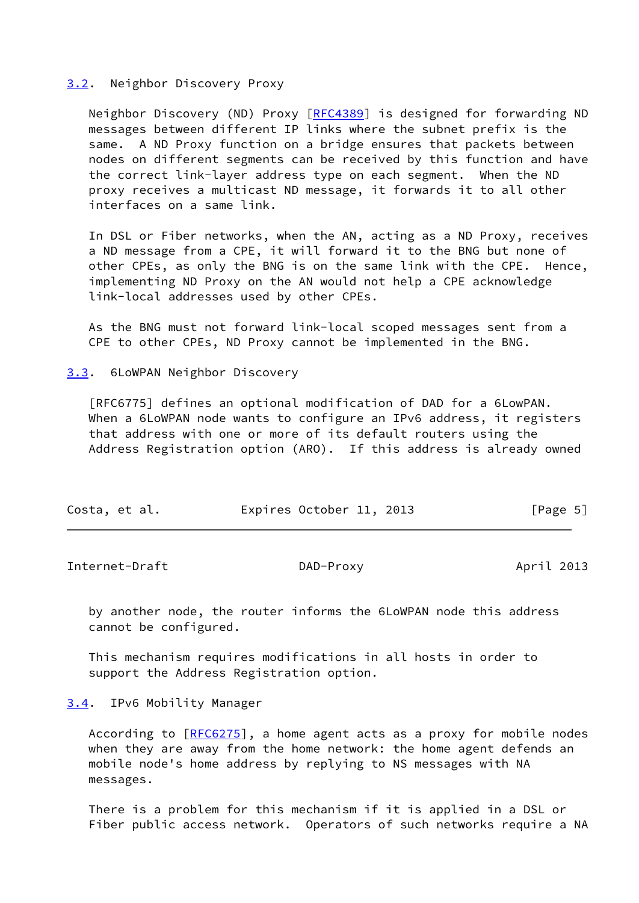### <span id="page-5-0"></span>[3.2](#page-5-0). Neighbor Discovery Proxy

Neighbor Discovery (ND) Proxy [[RFC4389](https://datatracker.ietf.org/doc/pdf/rfc4389)] is designed for forwarding ND messages between different IP links where the subnet prefix is the same. A ND Proxy function on a bridge ensures that packets between nodes on different segments can be received by this function and have the correct link-layer address type on each segment. When the ND proxy receives a multicast ND message, it forwards it to all other interfaces on a same link.

 In DSL or Fiber networks, when the AN, acting as a ND Proxy, receives a ND message from a CPE, it will forward it to the BNG but none of other CPEs, as only the BNG is on the same link with the CPE. Hence, implementing ND Proxy on the AN would not help a CPE acknowledge link-local addresses used by other CPEs.

 As the BNG must not forward link-local scoped messages sent from a CPE to other CPEs, ND Proxy cannot be implemented in the BNG.

### <span id="page-5-1"></span>[3.3](#page-5-1). 6LoWPAN Neighbor Discovery

 [RFC6775] defines an optional modification of DAD for a 6LowPAN. When a 6LoWPAN node wants to configure an IPv6 address, it registers that address with one or more of its default routers using the Address Registration option (ARO). If this address is already owned

| Expires October 11, 2013<br>[Page 5]<br>Costa, et al. |
|-------------------------------------------------------|
|-------------------------------------------------------|

<span id="page-5-3"></span>Internet-Draft DAD-Proxy April 2013

 by another node, the router informs the 6LoWPAN node this address cannot be configured.

 This mechanism requires modifications in all hosts in order to support the Address Registration option.

<span id="page-5-2"></span>[3.4](#page-5-2). IPv6 Mobility Manager

 According to [\[RFC6275](https://datatracker.ietf.org/doc/pdf/rfc6275)], a home agent acts as a proxy for mobile nodes when they are away from the home network: the home agent defends an mobile node's home address by replying to NS messages with NA messages.

 There is a problem for this mechanism if it is applied in a DSL or Fiber public access network. Operators of such networks require a NA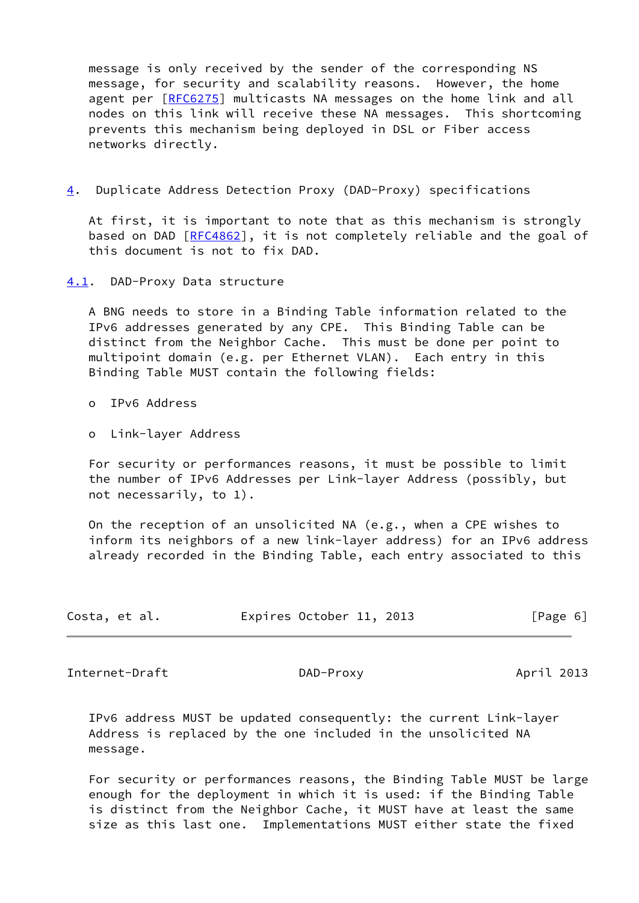message is only received by the sender of the corresponding NS message, for security and scalability reasons. However, the home agent per [[RFC6275](https://datatracker.ietf.org/doc/pdf/rfc6275)] multicasts NA messages on the home link and all nodes on this link will receive these NA messages. This shortcoming prevents this mechanism being deployed in DSL or Fiber access networks directly.

<span id="page-6-2"></span>[4](#page-6-2). Duplicate Address Detection Proxy (DAD-Proxy) specifications

 At first, it is important to note that as this mechanism is strongly based on DAD [\[RFC4862](https://datatracker.ietf.org/doc/pdf/rfc4862)], it is not completely reliable and the goal of this document is not to fix DAD.

<span id="page-6-0"></span>[4.1](#page-6-0). DAD-Proxy Data structure

 A BNG needs to store in a Binding Table information related to the IPv6 addresses generated by any CPE. This Binding Table can be distinct from the Neighbor Cache. This must be done per point to multipoint domain (e.g. per Ethernet VLAN). Each entry in this Binding Table MUST contain the following fields:

o IPv6 Address

o Link-layer Address

 For security or performances reasons, it must be possible to limit the number of IPv6 Addresses per Link-layer Address (possibly, but not necessarily, to 1).

 On the reception of an unsolicited NA (e.g., when a CPE wishes to inform its neighbors of a new link-layer address) for an IPv6 address already recorded in the Binding Table, each entry associated to this

| Costa, et al. |  | Expires October 11, 2013 |  | [Page 6] |  |
|---------------|--|--------------------------|--|----------|--|
|               |  |                          |  |          |  |

<span id="page-6-1"></span>Internet-Draft DAD-Proxy DAD-Proxy April 2013

 IPv6 address MUST be updated consequently: the current Link-layer Address is replaced by the one included in the unsolicited NA message.

 For security or performances reasons, the Binding Table MUST be large enough for the deployment in which it is used: if the Binding Table is distinct from the Neighbor Cache, it MUST have at least the same size as this last one. Implementations MUST either state the fixed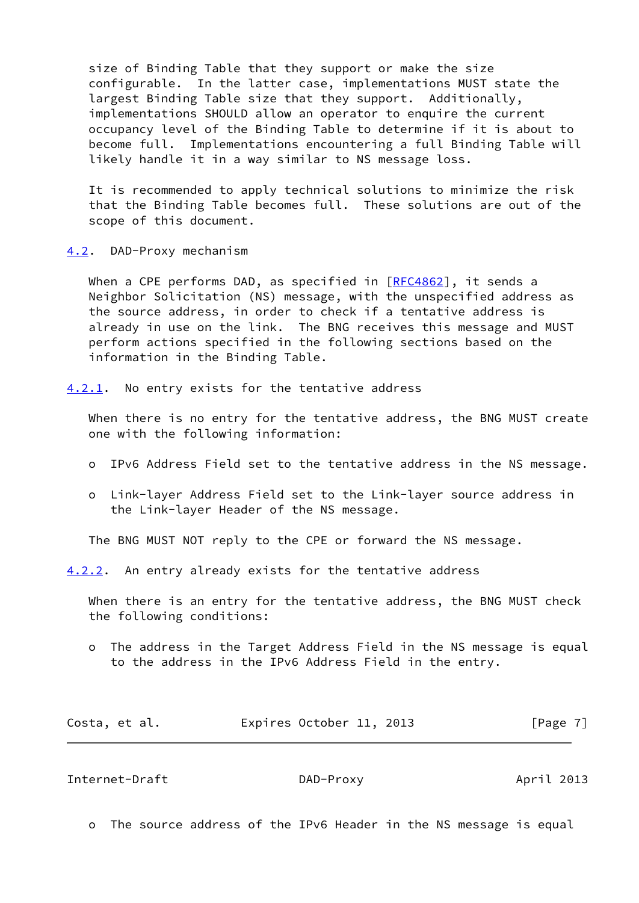size of Binding Table that they support or make the size configurable. In the latter case, implementations MUST state the largest Binding Table size that they support. Additionally, implementations SHOULD allow an operator to enquire the current occupancy level of the Binding Table to determine if it is about to become full. Implementations encountering a full Binding Table will likely handle it in a way similar to NS message loss.

 It is recommended to apply technical solutions to minimize the risk that the Binding Table becomes full. These solutions are out of the scope of this document.

<span id="page-7-0"></span>[4.2](#page-7-0). DAD-Proxy mechanism

When a CPE performs DAD, as specified in  $[REC4862]$ , it sends a Neighbor Solicitation (NS) message, with the unspecified address as the source address, in order to check if a tentative address is already in use on the link. The BNG receives this message and MUST perform actions specified in the following sections based on the information in the Binding Table.

<span id="page-7-1"></span>[4.2.1](#page-7-1). No entry exists for the tentative address

 When there is no entry for the tentative address, the BNG MUST create one with the following information:

- o IPv6 Address Field set to the tentative address in the NS message.
- o Link-layer Address Field set to the Link-layer source address in the Link-layer Header of the NS message.

The BNG MUST NOT reply to the CPE or forward the NS message.

<span id="page-7-2"></span>[4.2.2](#page-7-2). An entry already exists for the tentative address

 When there is an entry for the tentative address, the BNG MUST check the following conditions:

 o The address in the Target Address Field in the NS message is equal to the address in the IPv6 Address Field in the entry.

| Costa, et al. | Expires October 11, 2013 |  | [Page 7] |
|---------------|--------------------------|--|----------|
|---------------|--------------------------|--|----------|

Internet-Draft DAD-Proxy April 2013

o The source address of the IPv6 Header in the NS message is equal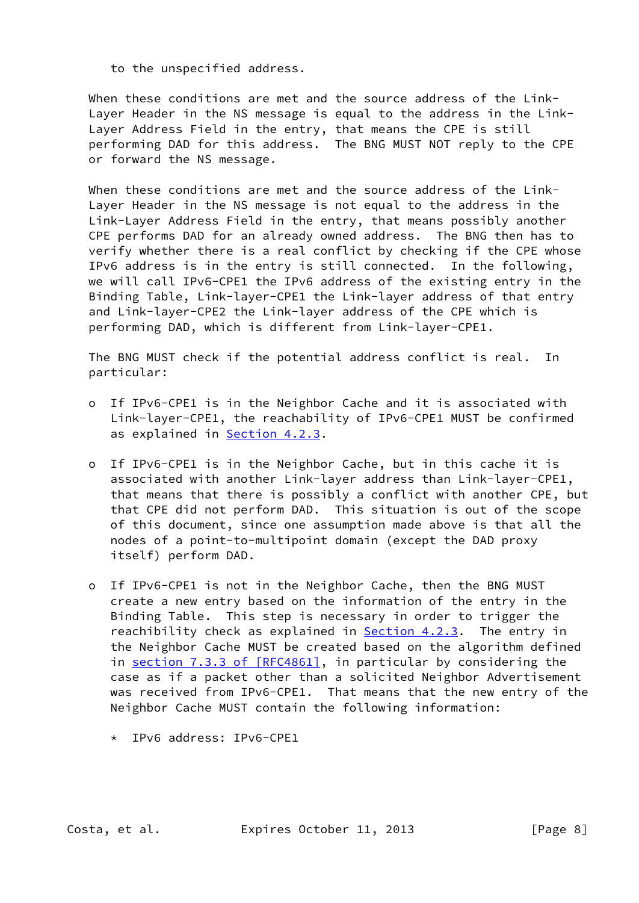to the unspecified address.

When these conditions are met and the source address of the Link- Layer Header in the NS message is equal to the address in the Link- Layer Address Field in the entry, that means the CPE is still performing DAD for this address. The BNG MUST NOT reply to the CPE or forward the NS message.

 When these conditions are met and the source address of the Link- Layer Header in the NS message is not equal to the address in the Link-Layer Address Field in the entry, that means possibly another CPE performs DAD for an already owned address. The BNG then has to verify whether there is a real conflict by checking if the CPE whose IPv6 address is in the entry is still connected. In the following, we will call IPv6-CPE1 the IPv6 address of the existing entry in the Binding Table, Link-layer-CPE1 the Link-layer address of that entry and Link-layer-CPE2 the Link-layer address of the CPE which is performing DAD, which is different from Link-layer-CPE1.

 The BNG MUST check if the potential address conflict is real. In particular:

- o If IPv6-CPE1 is in the Neighbor Cache and it is associated with Link-layer-CPE1, the reachability of IPv6-CPE1 MUST be confirmed as explained in **Section 4.2.3**.
- o If IPv6-CPE1 is in the Neighbor Cache, but in this cache it is associated with another Link-layer address than Link-layer-CPE1, that means that there is possibly a conflict with another CPE, but that CPE did not perform DAD. This situation is out of the scope of this document, since one assumption made above is that all the nodes of a point-to-multipoint domain (except the DAD proxy itself) perform DAD.
- o If IPv6-CPE1 is not in the Neighbor Cache, then the BNG MUST create a new entry based on the information of the entry in the Binding Table. This step is necessary in order to trigger the reachibility check as explained in [Section 4.2.3.](#page-9-1) The entry in the Neighbor Cache MUST be created based on the algorithm defined in section [7.3.3 of \[RFC4861\],](https://datatracker.ietf.org/doc/pdf/rfc4861#section-7.3.3) in particular by considering the case as if a packet other than a solicited Neighbor Advertisement was received from IPv6-CPE1. That means that the new entry of the Neighbor Cache MUST contain the following information:
	- \* IPv6 address: IPv6-CPE1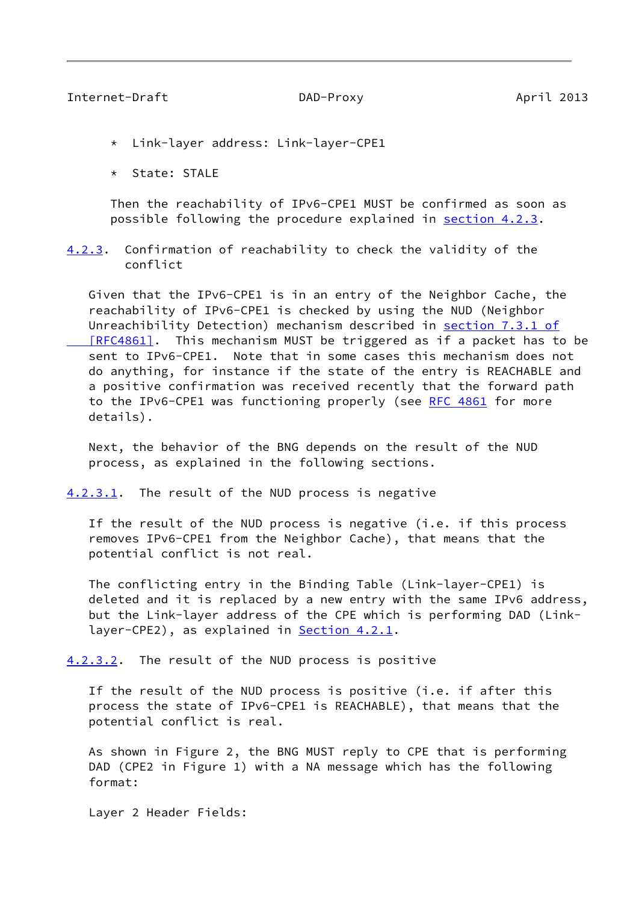- <span id="page-9-0"></span>\* Link-layer address: Link-layer-CPE1
- \* State: STALE

 Then the reachability of IPv6-CPE1 MUST be confirmed as soon as possible following the procedure explained in [section 4.2.3](#page-9-1).

<span id="page-9-1"></span>[4.2.3](#page-9-1). Confirmation of reachability to check the validity of the conflict

 Given that the IPv6-CPE1 is in an entry of the Neighbor Cache, the reachability of IPv6-CPE1 is checked by using the NUD (Neighbor Unreachibility Detection) mechanism described in section [7.3.1 of](https://datatracker.ietf.org/doc/pdf/rfc4861#section-7.3.1) [RFC4861]. This mechanism MUST be triggered as if a packet has to be sent to IPv6-CPE1. Note that in some cases this mechanism does not do anything, for instance if the state of the entry is REACHABLE and a positive confirmation was received recently that the forward path to the IPv6-CPE1 was functioning properly (see [RFC 4861](https://datatracker.ietf.org/doc/pdf/rfc4861) for more details).

 Next, the behavior of the BNG depends on the result of the NUD process, as explained in the following sections.

<span id="page-9-2"></span>[4.2.3.1](#page-9-2). The result of the NUD process is negative

 If the result of the NUD process is negative (i.e. if this process removes IPv6-CPE1 from the Neighbor Cache), that means that the potential conflict is not real.

 The conflicting entry in the Binding Table (Link-layer-CPE1) is deleted and it is replaced by a new entry with the same IPv6 address, but the Link-layer address of the CPE which is performing DAD (Link layer-CPE2), as explained in **Section 4.2.1**.

<span id="page-9-3"></span>[4.2.3.2](#page-9-3). The result of the NUD process is positive

 If the result of the NUD process is positive (i.e. if after this process the state of IPv6-CPE1 is REACHABLE), that means that the potential conflict is real.

 As shown in Figure 2, the BNG MUST reply to CPE that is performing DAD (CPE2 in Figure 1) with a NA message which has the following format:

Layer 2 Header Fields: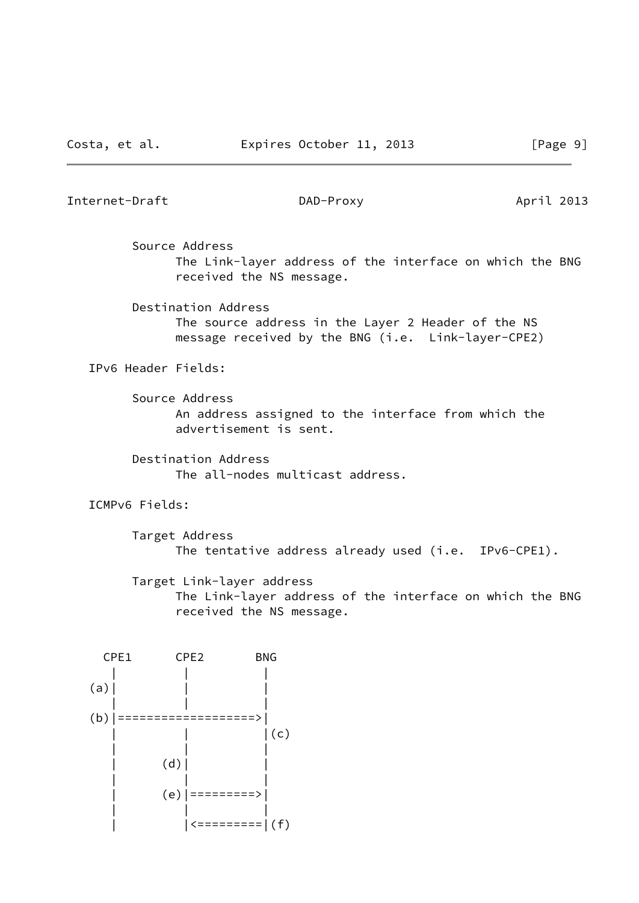Internet-Draft DAD-Proxy April 2013

Source Address

 The Link-layer address of the interface on which the BNG received the NS message.

Destination Address

 The source address in the Layer 2 Header of the NS message received by the BNG (i.e. Link-layer-CPE2)

IPv6 Header Fields:

 Source Address An address assigned to the interface from which the advertisement is sent.

 Destination Address The all-nodes multicast address.

ICMPv6 Fields:

 Target Address The tentative address already used (i.e. IPv6-CPE1).

Target Link-layer address

 The Link-layer address of the interface on which the BNG received the NS message.

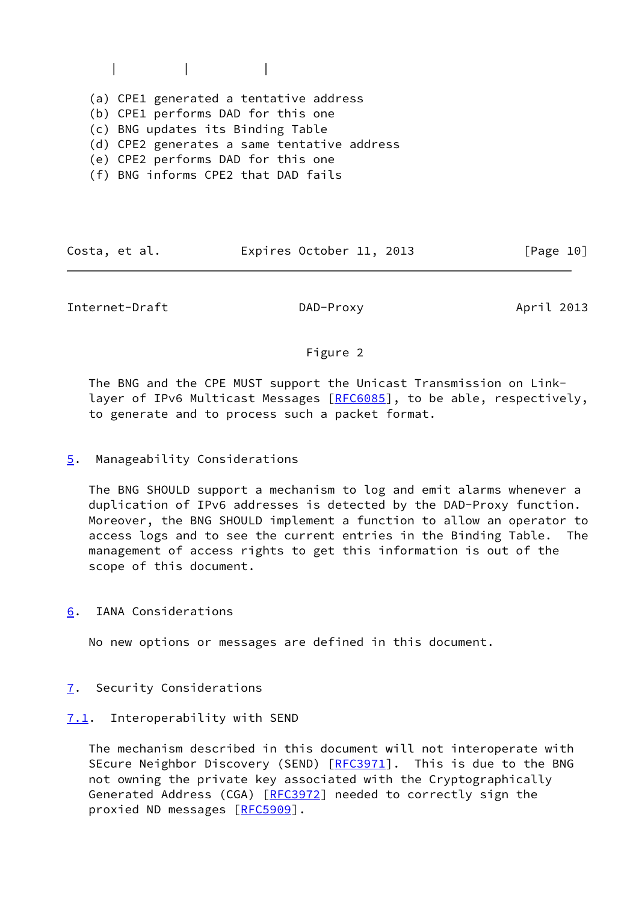$\|$ 

(a) CPE1 generated a tentative address

(b) CPE1 performs DAD for this one

(c) BNG updates its Binding Table

(d) CPE2 generates a same tentative address

- (e) CPE2 performs DAD for this one
- (f) BNG informs CPE2 that DAD fails

| Costa, et al. | Expires October 11, 2013 |  | [Page 10] |  |
|---------------|--------------------------|--|-----------|--|
|               |                          |  |           |  |

<span id="page-11-1"></span>Internet-Draft DAD-Proxy April 2013

# Figure 2

 The BNG and the CPE MUST support the Unicast Transmission on Link- layer of IPv6 Multicast Messages [\[RFC6085](https://datatracker.ietf.org/doc/pdf/rfc6085)], to be able, respectively, to generate and to process such a packet format.

# <span id="page-11-0"></span>[5](#page-11-0). Manageability Considerations

 The BNG SHOULD support a mechanism to log and emit alarms whenever a duplication of IPv6 addresses is detected by the DAD-Proxy function. Moreover, the BNG SHOULD implement a function to allow an operator to access logs and to see the current entries in the Binding Table. The management of access rights to get this information is out of the scope of this document.

<span id="page-11-2"></span>[6](#page-11-2). IANA Considerations

No new options or messages are defined in this document.

- <span id="page-11-3"></span>[7](#page-11-3). Security Considerations
- <span id="page-11-4"></span>[7.1](#page-11-4). Interoperability with SEND

 The mechanism described in this document will not interoperate with SEcure Neighbor Discovery (SEND) [\[RFC3971](https://datatracker.ietf.org/doc/pdf/rfc3971)]. This is due to the BNG not owning the private key associated with the Cryptographically Generated Address (CGA) [\[RFC3972](https://datatracker.ietf.org/doc/pdf/rfc3972)] needed to correctly sign the proxied ND messages [\[RFC5909](https://datatracker.ietf.org/doc/pdf/rfc5909)].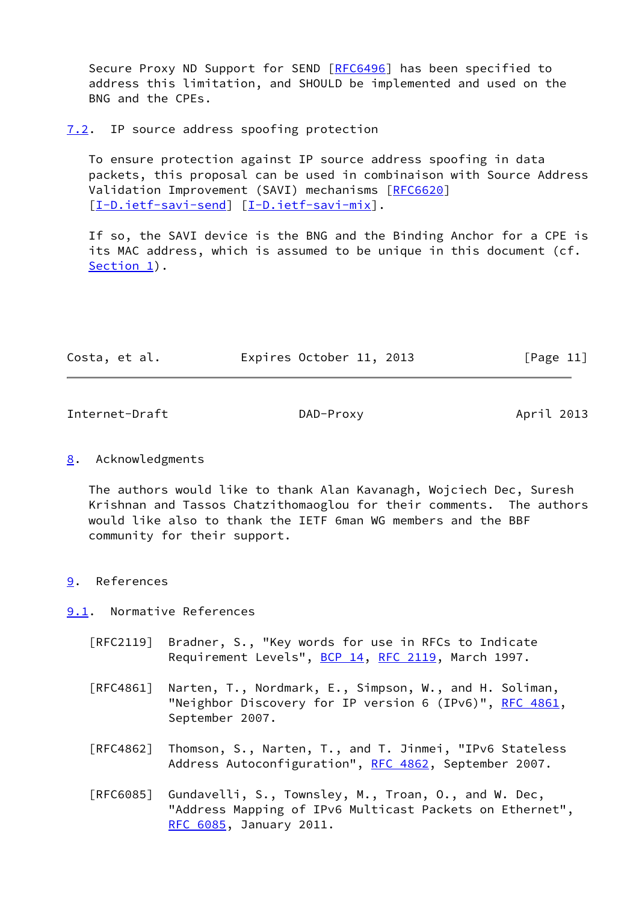Secure Proxy ND Support for SEND [\[RFC6496](https://datatracker.ietf.org/doc/pdf/rfc6496)] has been specified to address this limitation, and SHOULD be implemented and used on the BNG and the CPEs.

### <span id="page-12-0"></span>[7.2](#page-12-0). IP source address spoofing protection

 To ensure protection against IP source address spoofing in data packets, this proposal can be used in combinaison with Source Address Validation Improvement (SAVI) mechanisms [\[RFC6620](https://datatracker.ietf.org/doc/pdf/rfc6620)] [\[I-D.ietf-savi-send\]](#page-13-2) [\[I-D.ietf-savi-mix\]](#page-13-3).

 If so, the SAVI device is the BNG and the Binding Anchor for a CPE is its MAC address, which is assumed to be unique in this document (cf. [Section 1](#page-2-0)).

| Costa, et al. | Expires October 11, 2013 |  | [Page 11] |  |
|---------------|--------------------------|--|-----------|--|
|               |                          |  |           |  |

<span id="page-12-2"></span>Internet-Draft DAD-Proxy April 2013

# <span id="page-12-1"></span>[8](#page-12-1). Acknowledgments

 The authors would like to thank Alan Kavanagh, Wojciech Dec, Suresh Krishnan and Tassos Chatzithomaoglou for their comments. The authors would like also to thank the IETF 6man WG members and the BBF community for their support.

# <span id="page-12-3"></span>[9](#page-12-3). References

<span id="page-12-4"></span>[9.1](#page-12-4). Normative References

- [RFC2119] Bradner, S., "Key words for use in RFCs to Indicate Requirement Levels", [BCP 14](https://datatracker.ietf.org/doc/pdf/bcp14), [RFC 2119](https://datatracker.ietf.org/doc/pdf/rfc2119), March 1997.
- [RFC4861] Narten, T., Nordmark, E., Simpson, W., and H. Soliman, "Neighbor Discovery for IP version 6 (IPv6)", [RFC 4861](https://datatracker.ietf.org/doc/pdf/rfc4861), September 2007.
- [RFC4862] Thomson, S., Narten, T., and T. Jinmei, "IPv6 Stateless Address Autoconfiguration", [RFC 4862,](https://datatracker.ietf.org/doc/pdf/rfc4862) September 2007.
- [RFC6085] Gundavelli, S., Townsley, M., Troan, O., and W. Dec, "Address Mapping of IPv6 Multicast Packets on Ethernet", [RFC 6085,](https://datatracker.ietf.org/doc/pdf/rfc6085) January 2011.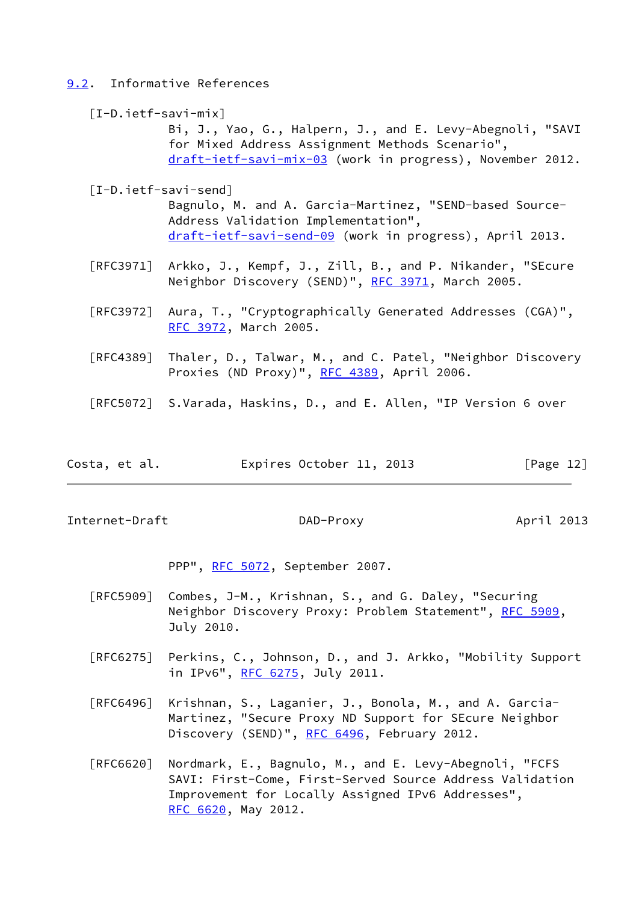### <span id="page-13-0"></span>[9.2](#page-13-0). Informative References

### <span id="page-13-3"></span>[I-D.ietf-savi-mix]

 Bi, J., Yao, G., Halpern, J., and E. Levy-Abegnoli, "SAVI for Mixed Address Assignment Methods Scenario", [draft-ietf-savi-mix-03](https://datatracker.ietf.org/doc/pdf/draft-ietf-savi-mix-03) (work in progress), November 2012.

### <span id="page-13-2"></span>[I-D.ietf-savi-send]

 Bagnulo, M. and A. Garcia-Martinez, "SEND-based Source- Address Validation Implementation", [draft-ietf-savi-send-09](https://datatracker.ietf.org/doc/pdf/draft-ietf-savi-send-09) (work in progress), April 2013.

- [RFC3971] Arkko, J., Kempf, J., Zill, B., and P. Nikander, "SEcure Neighbor Discovery (SEND)", [RFC 3971,](https://datatracker.ietf.org/doc/pdf/rfc3971) March 2005.
- [RFC3972] Aura, T., "Cryptographically Generated Addresses (CGA)", [RFC 3972,](https://datatracker.ietf.org/doc/pdf/rfc3972) March 2005.
- [RFC4389] Thaler, D., Talwar, M., and C. Patel, "Neighbor Discovery Proxies (ND Proxy)", [RFC 4389](https://datatracker.ietf.org/doc/pdf/rfc4389), April 2006.
- [RFC5072] S.Varada, Haskins, D., and E. Allen, "IP Version 6 over
- Costa, et al. Expires October 11, 2013 [Page 12]

<span id="page-13-1"></span>Internet-Draft DAD-Proxy DAD-Proxy April 2013

PPP", [RFC 5072](https://datatracker.ietf.org/doc/pdf/rfc5072), September 2007.

- [RFC5909] Combes, J-M., Krishnan, S., and G. Daley, "Securing Neighbor Discovery Proxy: Problem Statement", [RFC 5909](https://datatracker.ietf.org/doc/pdf/rfc5909), July 2010.
- [RFC6275] Perkins, C., Johnson, D., and J. Arkko, "Mobility Support in IPv6", [RFC 6275](https://datatracker.ietf.org/doc/pdf/rfc6275), July 2011.
- [RFC6496] Krishnan, S., Laganier, J., Bonola, M., and A. Garcia- Martinez, "Secure Proxy ND Support for SEcure Neighbor Discovery (SEND)", [RFC 6496](https://datatracker.ietf.org/doc/pdf/rfc6496), February 2012.
- [RFC6620] Nordmark, E., Bagnulo, M., and E. Levy-Abegnoli, "FCFS SAVI: First-Come, First-Served Source Address Validation Improvement for Locally Assigned IPv6 Addresses", [RFC 6620,](https://datatracker.ietf.org/doc/pdf/rfc6620) May 2012.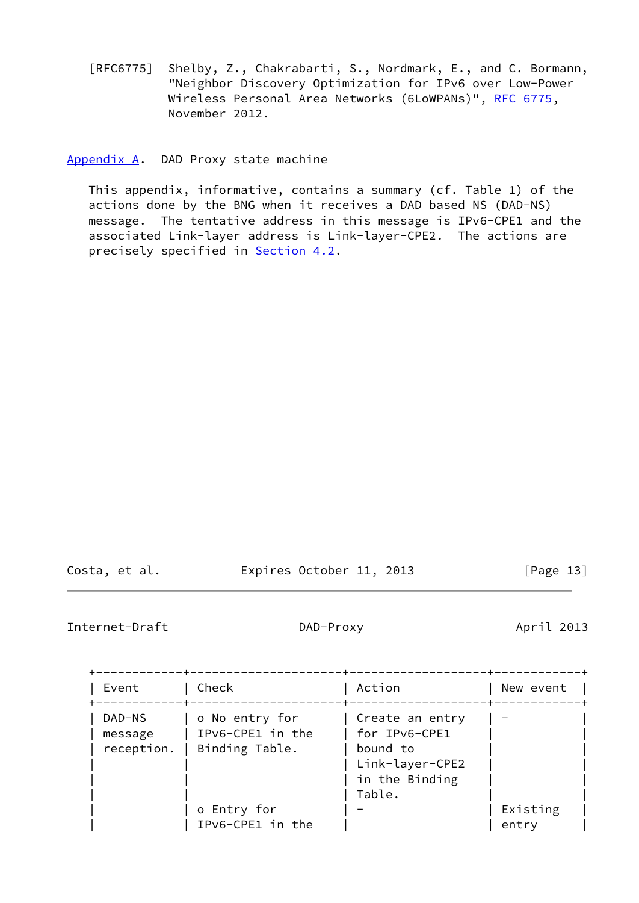[RFC6775] Shelby, Z., Chakrabarti, S., Nordmark, E., and C. Bormann, "Neighbor Discovery Optimization for IPv6 over Low-Power Wireless Personal Area Networks (6LoWPANs)", [RFC 6775](https://datatracker.ietf.org/doc/pdf/rfc6775), November 2012.

<span id="page-14-0"></span>[Appendix A.](#page-14-0) DAD Proxy state machine

 This appendix, informative, contains a summary (cf. Table 1) of the actions done by the BNG when it receives a DAD based NS (DAD-NS) message. The tentative address in this message is IPv6-CPE1 and the associated Link-layer address is Link-layer-CPE2. The actions are precisely specified in **[Section 4.2](#page-7-0)**.

Costa, et al. Expires October 11, 2013 [Page 13]

Internet-Draft DAD-Proxy DAD-Proxy April 2013

| Event                           | Check                                                | Action                                                                                        | New event         |
|---------------------------------|------------------------------------------------------|-----------------------------------------------------------------------------------------------|-------------------|
| DAD-NS<br>message<br>reception. | o No entry for<br>IPv6-CPE1 in the<br>Binding Table. | Create an entry<br>  for IPv6-CPE1<br>bound to<br>Link-layer-CPE2<br>in the Binding<br>Table. |                   |
|                                 | o Entry for<br>IPv6-CPE1 in the                      |                                                                                               | Existing<br>entry |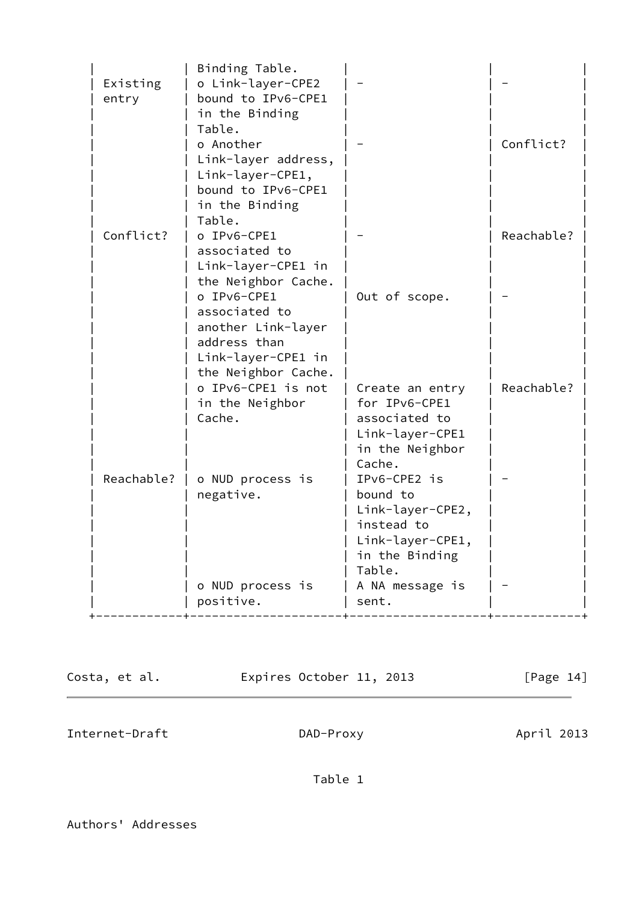| Existing  |            | Binding Table.<br>o Link-layer-CPE2       |                                |            |
|-----------|------------|-------------------------------------------|--------------------------------|------------|
| entry     |            | bound to IPv6-CPE1                        |                                |            |
|           |            | in the Binding                            |                                |            |
|           |            | Table.                                    |                                |            |
|           |            | o Another                                 |                                | Conflict?  |
|           |            | Link-layer address,                       |                                |            |
|           |            | Link-layer-CPE1,                          |                                |            |
|           |            | bound to IPv6-CPE1                        |                                |            |
|           |            | in the Binding                            |                                |            |
|           |            | Table.                                    |                                |            |
| Conflict? |            | o IPv6-CPE1                               |                                | Reachable? |
|           |            | associated to                             |                                |            |
|           |            | Link-layer-CPE1 in<br>the Neighbor Cache. |                                |            |
|           |            | o IPv6-CPE1                               | Out of scope.                  |            |
|           |            | associated to                             |                                |            |
|           |            | another Link-layer                        |                                |            |
|           |            | address than                              |                                |            |
|           |            | Link-layer-CPE1 in                        |                                |            |
|           |            | the Neighbor Cache.                       |                                |            |
|           |            | o IPv6-CPE1 is not                        | Create an entry                | Reachable? |
|           |            | in the Neighbor                           | for IPv6-CPE1                  |            |
|           |            | Cache.                                    | associated to                  |            |
|           |            |                                           | Link-layer-CPE1                |            |
|           |            |                                           | in the Neighbor                |            |
|           |            |                                           | Cache.                         |            |
|           | Reachable? | o NUD process is                          | IPv6-CPE2 is                   |            |
|           |            | negative.                                 | bound to                       |            |
|           |            |                                           | Link-layer-CPE2,<br>instead to |            |
|           |            |                                           | Link-layer-CPE1,               |            |
|           |            |                                           | in the Binding                 |            |
|           |            |                                           | Table.                         |            |
|           |            | o NUD process is                          | A NA message is                |            |
|           |            | positive.                                 | sent.                          |            |
|           |            |                                           |                                |            |

Costa, et al. **Expires October 11, 2013** [Page 14]

 $\overline{\phantom{0}}$ 

<span id="page-15-0"></span>Internet-Draft DAD-Proxy DAD-Proxy April 2013

Table 1